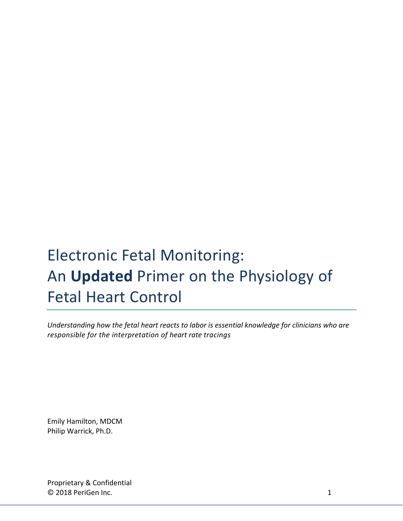# Electronic Fetal Monitoring: An **Updated** Primer on the Physiology of Fetal Heart Control

*Understanding how the fetal heart reacts to labor is essential knowledge for clinicians who are responsible for the interpretation of heart rate tracings* 

Emily Hamilton, MDCM Philip Warrick, Ph.D.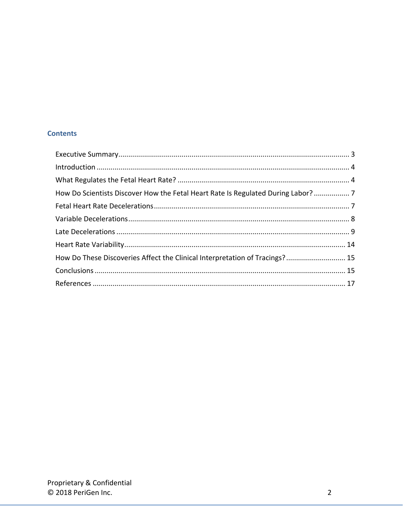# **Contents**

| How Do Scientists Discover How the Fetal Heart Rate Is Regulated During Labor?  7 |  |
|-----------------------------------------------------------------------------------|--|
|                                                                                   |  |
|                                                                                   |  |
|                                                                                   |  |
|                                                                                   |  |
| How Do These Discoveries Affect the Clinical Interpretation of Tracings? 15       |  |
|                                                                                   |  |
|                                                                                   |  |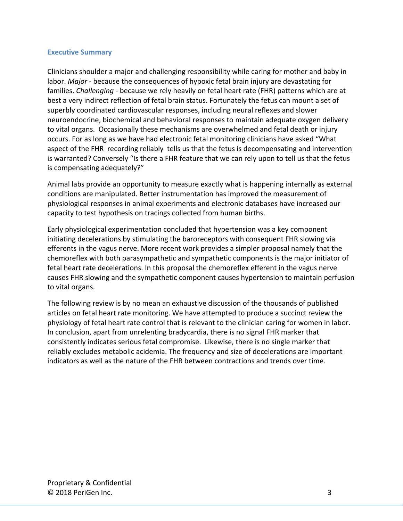#### <span id="page-2-0"></span>**Executive Summary**

Clinicians shoulder a major and challenging responsibility while caring for mother and baby in labor. *Major* - because the consequences of hypoxic fetal brain injury are devastating for families. *Challenging* - because we rely heavily on fetal heart rate (FHR) patterns which are at best a very indirect reflection of fetal brain status. Fortunately the fetus can mount a set of superbly coordinated cardiovascular responses, including neural reflexes and slower neuroendocrine, biochemical and behavioral responses to maintain adequate oxygen delivery to vital organs. Occasionally these mechanisms are overwhelmed and fetal death or injury occurs. For as long as we have had electronic fetal monitoring clinicians have asked "What aspect of the FHR recording reliably tells us that the fetus is decompensating and intervention is warranted? Conversely "Is there a FHR feature that we can rely upon to tell us that the fetus is compensating adequately?"

Animal labs provide an opportunity to measure exactly what is happening internally as external conditions are manipulated. Better instrumentation has improved the measurement of physiological responses in animal experiments and electronic databases have increased our capacity to test hypothesis on tracings collected from human births.

Early physiological experimentation concluded that hypertension was a key component initiating decelerations by stimulating the baroreceptors with consequent FHR slowing via efferents in the vagus nerve. More recent work provides a simpler proposal namely that the chemoreflex with both parasympathetic and sympathetic components is the major initiator of fetal heart rate decelerations. In this proposal the chemoreflex efferent in the vagus nerve causes FHR slowing and the sympathetic component causes hypertension to maintain perfusion to vital organs.

The following review is by no mean an exhaustive discussion of the thousands of published articles on fetal heart rate monitoring. We have attempted to produce a succinct review the physiology of fetal heart rate control that is relevant to the clinician caring for women in labor. In conclusion, apart from unrelenting bradycardia, there is no signal FHR marker that consistently indicates serious fetal compromise. Likewise, there is no single marker that reliably excludes metabolic acidemia. The frequency and size of decelerations are important indicators as well as the nature of the FHR between contractions and trends over time.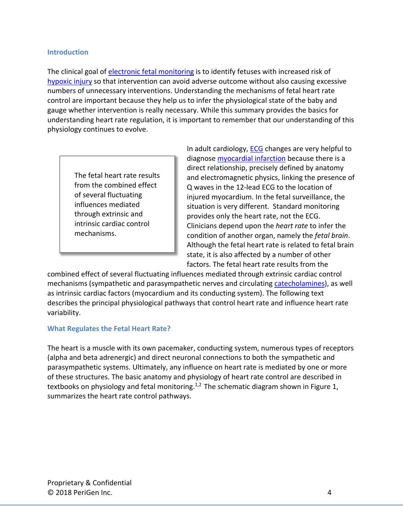#### <span id="page-3-0"></span>**Introduction**

The clinical goal of [electronic fetal](http://perigen.com/basics-of-electronic-fetal-monitoring-efm/) monitoring is to identify fetuses with increased risk of [hypoxic injury](https://en.wikipedia.org/wiki/Cerebral_hypoxia) so that intervention can avoid adverse outcome without also causing excessive numbers of unnecessary interventions. Understanding the mechanisms of fetal heart rate control are important because they help us to infer the physiological state of the baby and gauge whether intervention is really necessary. While this summary provides the basics for understanding heart rate regulation, it is important to remember that our understanding of this physiology continues to evolve.

The fetal heart rate results from the combined effect of several fluctuating influences mediated through extrinsic and intrinsic cardiac control mechanisms.

In adult cardiology, [ECG](https://en.wikipedia.org/wiki/Electrocardioggraphy) changes are very helpful to diagnose **myocardial infarction** because there is a direct relationship, precisely defined by anatomy and electromagnetic physics, linking the presence of Q waves in the 12-lead ECG to the location of injured myocardium. In the fetal surveillance, the situation is very different. Standard monitoring provides only the heart rate, not the ECG. Clinicians depend upon the *heart rate* to infer the condition of another organ, namely the *fetal brain*. Although the fetal heart rate is related to fetal brain state, it is also affected by a number of other factors. The fetal heart rate results from the

combined effect of several fluctuating influences mediated through extrinsic cardiac control mechanisms (sympathetic and parasympathetic nerves and circulating [catecholamines\)](https://www.nlm.nih.gov/medlineplus/ency/article/003561.htm), as well as intrinsic cardiac factors (myocardium and its conducting system). The following text describes the principal physiological pathways that control heart rate and influence heart rate variability.

#### <span id="page-3-1"></span>**What Regulates the Fetal Heart Rate?**

The heart is a muscle with its own pacemaker, conducting system, numerous types of receptors (alpha and beta adrenergic) and direct neuronal connections to both the sympathetic and parasympathetic systems. Ultimately, any influence on heart rate is mediated by one or more of these structures. The basic anatomy and physiology of heart rate control are described in textbooks on physiology and fetal monitoring.<sup>1,2</sup> The schematic diagram shown in Figure 1, summarizes the heart rate control pathways.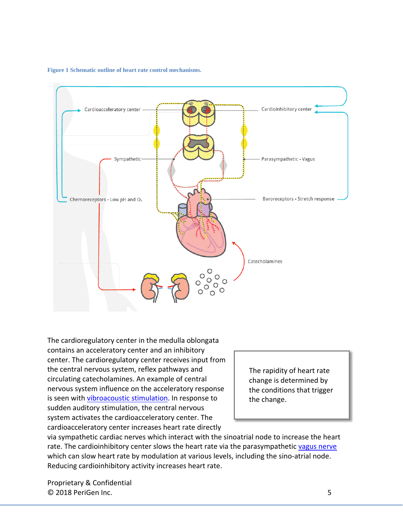**Figure 1 Schematic outline of heart rate control mechanisms.**



The cardioregulatory center in the medulla oblongata contains an acceleratory center and an inhibitory center. The cardioregulatory center receives input from the central nervous system, reflex pathways and circulating catecholamines. An example of central nervous system influence on the acceleratory response is seen with [vibroacoustic stimulation.](https://en.wikipedia.org/wiki/vibroacoustic_stimulation) In response to sudden auditory stimulation, the central nervous system activates the cardioacceleratory center. The cardioacceleratory center increases heart rate directly

The rapidity of heart rate change is determined by the conditions that trigger the change.

via sympathetic cardiac nerves which interact with the sinoatrial node to increase the heart rate. The cardioinhibitory center slows the heart rate via the parasympathetic [vagus nerve](https://en.wikipedia.org/wiki/Vagus_nerve) which can slow heart rate by modulation at various levels, including the sino-atrial node. Reducing cardioinhibitory activity increases heart rate.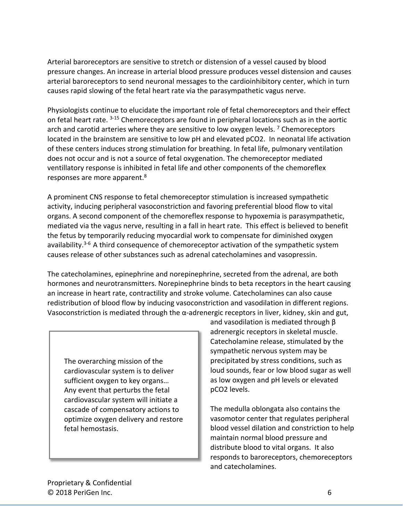Arterial baroreceptors are sensitive to stretch or distension of a vessel caused by blood pressure changes. An increase in arterial blood pressure produces vessel distension and causes arterial baroreceptors to send neuronal messages to the cardioinhibitory center, which in turn causes rapid slowing of the fetal heart rate via the parasympathetic vagus nerve.

Physiologists continue to elucidate the important role of fetal chemoreceptors and their effect on fetal heart rate. 3-15 Chemoreceptors are found in peripheral locations such as in the aortic arch and carotid arteries where they are sensitive to low oxygen levels.<sup>7</sup> Chemoreceptors located in the brainstem are sensitive to low pH and elevated pCO2. In neonatal life activation of these centers induces strong stimulation for breathing. In fetal life, pulmonary ventilation does not occur and is not a source of fetal oxygenation. The chemoreceptor mediated ventillatory response is inhibited in fetal life and other components of the chemoreflex responses are more apparent.<sup>8</sup>

A prominent CNS response to fetal chemoreceptor stimulation is increased sympathetic activity, inducing peripheral vasoconstriction and favoring preferential blood flow to vital organs. A second component of the chemoreflex response to hypoxemia is parasympathetic, mediated via the vagus nerve, resulting in a fall in heart rate. This effect is believed to benefit the fetus by temporarily reducing myocardial work to compensate for diminished oxygen availability. $3-6$  A third consequence of chemoreceptor activation of the sympathetic system causes release of other substances such as adrenal catecholamines and vasopressin.

The catecholamines, epinephrine and norepinephrine, secreted from the adrenal, are both hormones and neurotransmitters. Norepinephrine binds to beta receptors in the heart causing an increase in heart rate, contractility and stroke volume. Catecholamines can also cause redistribution of blood flow by inducing vasoconstriction and vasodilation in different regions. Vasoconstriction is mediated through the α-adrenergic receptors in liver, kidney, skin and gut,

The overarching mission of the cardiovascular system is to deliver sufficient oxygen to key organs… Any event that perturbs the fetal cardiovascular system will initiate a cascade of compensatory actions to optimize oxygen delivery and restore fetal hemostasis.

and vasodilation is mediated through β adrenergic receptors in skeletal muscle. Catecholamine release, stimulated by the sympathetic nervous system may be precipitated by stress conditions, such as loud sounds, fear or low blood sugar as well as low oxygen and pH levels or elevated pCO2 levels.

The medulla oblongata also contains the vasomotor center that regulates peripheral blood vessel dilation and constriction to help maintain normal blood pressure and distribute blood to vital organs. It also responds to baroreceptors, chemoreceptors and catecholamines.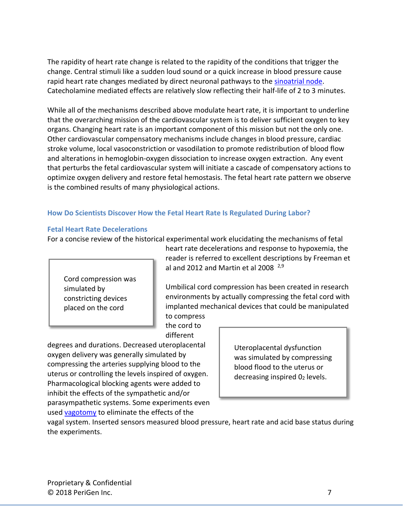The rapidity of heart rate change is related to the rapidity of the conditions that trigger the change. Central stimuli like a sudden loud sound or a quick increase in blood pressure cause rapid heart rate changes mediated by direct neuronal pathways to the [sinoatrial node.](https://en.wikipedi.org/wiki/Sinoatrial_node) Catecholamine mediated effects are relatively slow reflecting their half-life of 2 to 3 minutes.

While all of the mechanisms described above modulate heart rate, it is important to underline that the overarching mission of the cardiovascular system is to deliver sufficient oxygen to key organs. Changing heart rate is an important component of this mission but not the only one. Other cardiovascular compensatory mechanisms include changes in blood pressure, cardiac stroke volume, local vasoconstriction or vasodilation to promote redistribution of blood flow and alterations in hemoglobin-oxygen dissociation to increase oxygen extraction. Any event that perturbs the fetal cardiovascular system will initiate a cascade of compensatory actions to optimize oxygen delivery and restore fetal hemostasis. The fetal heart rate pattern we observe is the combined results of many physiological actions.

## <span id="page-6-0"></span>**How Do Scientists Discover How the Fetal Heart Rate Is Regulated During Labor?**

#### <span id="page-6-1"></span>**Fetal Heart Rate Decelerations**

For a concise review of the historical experimental work elucidating the mechanisms of fetal

Cord compression was simulated by constricting devices placed on the cord

heart rate decelerations and response to hypoxemia, the reader is referred to excellent descriptions by Freeman et al and 2012 and Martin et al 2008  $2.9$ 

Umbilical cord compression has been created in research environments by actually compressing the fetal cord with implanted mechanical devices that could be manipulated

to compress the cord to different

degrees and durations. Decreased uteroplacental oxygen delivery was generally simulated by compressing the arteries supplying blood to the uterus or controlling the levels inspired of oxygen. Pharmacological blocking agents were added to inhibit the effects of the sympathetic and/or parasympathetic systems. Some experiments even used [vagotomy](https://en.wikipedia.org/wiki/Vagotomy) to eliminate the effects of the

Uteroplacental dysfunction was simulated by compressing blood flood to the uterus or decreasing inspired 02 levels.

vagal system. Inserted sensors measured blood pressure, heart rate and acid base status during the experiments.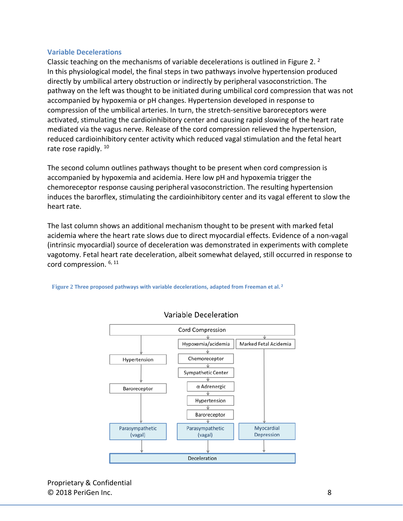#### <span id="page-7-0"></span>**Variable Decelerations**

Classic teaching on the mechanisms of variable decelerations is outlined in Figure 2. 2 In this physiological model, the final steps in two pathways involve hypertension produced directly by umbilical artery obstruction or indirectly by peripheral vasoconstriction. The pathway on the left was thought to be initiated during umbilical cord compression that was not accompanied by hypoxemia or pH changes. Hypertension developed in response to compression of the umbilical arteries. In turn, the stretch-sensitive baroreceptors were activated, stimulating the cardioinhibitory center and causing rapid slowing of the heart rate mediated via the vagus nerve. Release of the cord compression relieved the hypertension, reduced cardioinhibitory center activity which reduced vagal stimulation and the fetal heart rate rose rapidly.<sup>10</sup>

The second column outlines pathways thought to be present when cord compression is accompanied by hypoxemia and acidemia. Here low pH and hypoxemia trigger the chemoreceptor response causing peripheral vasoconstriction. The resulting hypertension induces the barorflex, stimulating the cardioinhibitory center and its vagal efferent to slow the heart rate.

The last column shows an additional mechanism thought to be present with marked fetal acidemia where the heart rate slows due to direct myocardial effects. Evidence of a non-vagal (intrinsic myocardial) source of deceleration was demonstrated in experiments with complete vagotomy. Fetal heart rate deceleration, albeit somewhat delayed, still occurred in response to cord compression. 6, 11



**Figure 2 Three proposed pathways with variable decelerations, adapted from Freeman et al. <sup>2</sup>**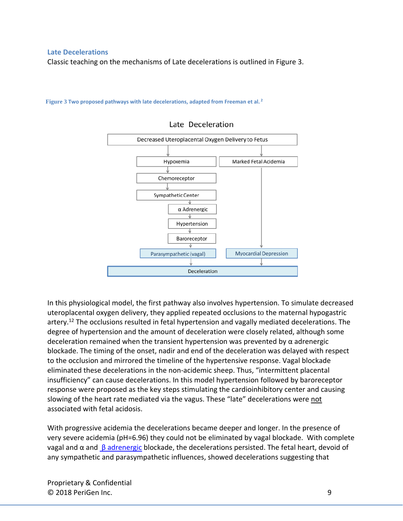#### <span id="page-8-0"></span>**Late Decelerations**

Classic teaching on the mechanisms of Late decelerations is outlined in Figure 3.



#### **Figure 3 Two proposed pathways with late decelerations, adapted from Freeman et al. <sup>2</sup>**

In this physiological model, the first pathway also involves hypertension. To simulate decreased uteroplacental oxygen delivery, they applied repeated occlusions to the maternal hypogastric artery.<sup>12</sup> The occlusions resulted in fetal hypertension and vagally mediated decelerations. The degree of hypertension and the amount of deceleration were closely related, although some deceleration remained when the transient hypertension was prevented by  $\alpha$  adrenergic blockade. The timing of the onset, nadir and end of the deceleration was delayed with respect to the occlusion and mirrored the timeline of the hypertensive response. Vagal blockade eliminated these decelerations in the non-acidemic sheep. Thus, "intermittent placental insufficiency" can cause decelerations. In this model hypertension followed by baroreceptor response were proposed as the key steps stimulating the cardioinhibitory center and causing slowing of the heart rate mediated via the vagus. These "late" decelerations were not associated with fetal acidosis.

With progressive acidemia the decelerations became deeper and longer. In the presence of very severe acidemia (pH=6.96) they could not be eliminated by vagal blockade. With complete vagal and  $\alpha$  and  $\beta$  [adrenergic](http://www.medicinenet.com/script/main/art.asp?articlekey=7496) blockade, the decelerations persisted. The fetal heart, devoid of any sympathetic and parasympathetic influences, showed decelerations suggesting that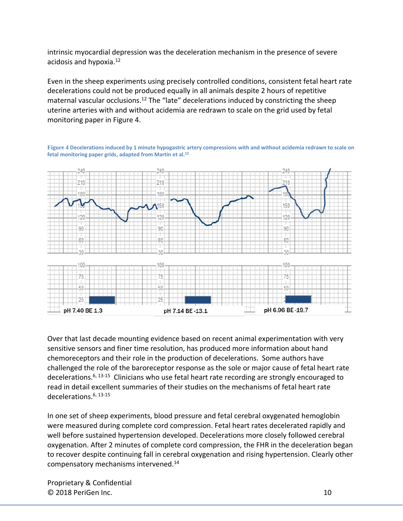intrinsic myocardial depression was the deceleration mechanism in the presence of severe acidosis and hypoxia. 12

Even in the sheep experiments using precisely controlled conditions, consistent fetal heart rate decelerations could not be produced equally in all animals despite 2 hours of repetitive maternal vascular occlusions.<sup>12</sup> The "late" decelerations induced by constricting the sheep uterine arteries with and without acidemia are redrawn to scale on the grid used by fetal monitoring paper in Figure 4.





Over that last decade mounting evidence based on recent animal experimentation with very sensitive sensors and finer time resolution, has produced more information about hand chemoreceptors and their role in the production of decelerations. Some authors have challenged the role of the baroreceptor response as the sole or major cause of fetal heart rate decelerations.<sup>6, 13-15</sup> Clinicians who use fetal heart rate recording are strongly encouraged to read in detail excellent summaries of their studies on the mechanisms of fetal heart rate decelerations.6, 13-15

In one set of sheep experiments, blood pressure and fetal cerebral oxygenated hemoglobin were measured during complete cord compression. Fetal heart rates decelerated rapidly and well before sustained hypertension developed. Decelerations more closely followed cerebral oxygenation. After 2 minutes of complete cord compression, the FHR in the deceleration began to recover despite continuing fall in cerebral oxygenation and rising hypertension. Clearly other compensatory mechanisms intervened. 14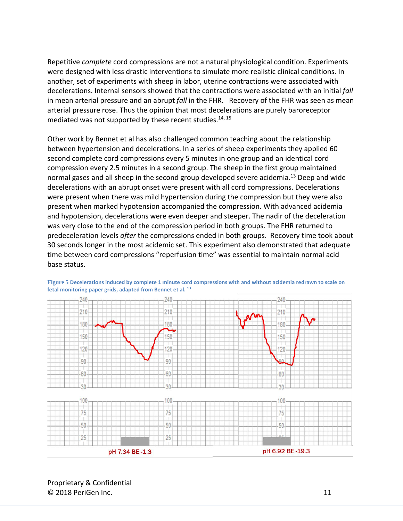Repetitive *complete* cord compressions are not a natural physiological condition. Experiments were designed with less drastic interventions to simulate more realistic clinical conditions. In another, set of experiments with sheep in labor, uterine contractions were associated with decelerations. Internal sensors showed that the contractions were associated with an initial *fall* in mean arterial pressure and an abrupt *fall* in the FHR. Recovery of the FHR was seen as mean arterial pressure rose. Thus the opinion that most decelerations are purely baroreceptor mediated was not supported by these recent studies. $14, 15$ 

Other work by Bennet et al has also challenged common teaching about the relationship between hypertension and decelerations. In a series of sheep experiments they applied 60 second complete cord compressions every 5 minutes in one group and an identical cord compression every 2.5 minutes in a second group. The sheep in the first group maintained normal gases and all sheep in the second group developed severe acidemia.<sup>13</sup> Deep and wide decelerations with an abrupt onset were present with all cord compressions. Decelerations were present when there was mild hypertension during the compression but they were also present when marked hypotension accompanied the compression. With advanced acidemia and hypotension, decelerations were even deeper and steeper. The nadir of the deceleration was very close to the end of the compression period in both groups. The FHR returned to predeceleration levels *after* the compressions ended in both groups. Recovery time took about 30 seconds longer in the most acidemic set. This experiment also demonstrated that adequate time between cord compressions "reperfusion time" was essential to maintain normal acid base status.



**Figure 5 Decelerations induced by complete 1 minute cord compressions with and without acidemia redrawn to scale on fetal monitoring paper grids, adapted from Bennet et al. <sup>13</sup>**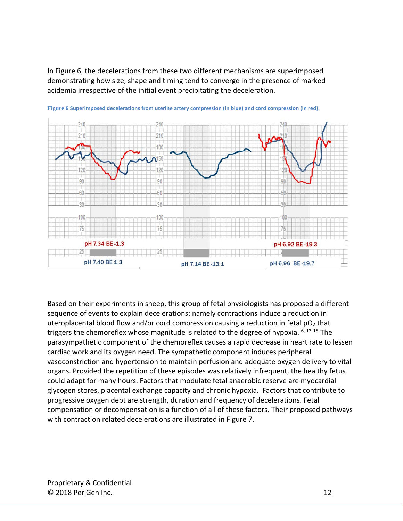In Figure 6, the decelerations from these two different mechanisms are superimposed demonstrating how size, shape and timing tend to converge in the presence of marked acidemia irrespective of the initial event precipitating the deceleration.





Based on their experiments in sheep, this group of fetal physiologists has proposed a different sequence of events to explain decelerations: namely contractions induce a reduction in uteroplacental blood flow and/or cord compression causing a reduction in fetal  $pO<sub>2</sub>$  that triggers the chemoreflex whose magnitude is related to the degree of hypoxia. 6, 13-15 The parasympathetic component of the chemoreflex causes a rapid decrease in heart rate to lessen cardiac work and its oxygen need. The sympathetic component induces peripheral vasoconstriction and hypertension to maintain perfusion and adequate oxygen delivery to vital organs. Provided the repetition of these episodes was relatively infrequent, the healthy fetus could adapt for many hours. Factors that modulate fetal anaerobic reserve are myocardial glycogen stores, placental exchange capacity and chronic hypoxia. Factors that contribute to progressive oxygen debt are strength, duration and frequency of decelerations. Fetal compensation or decompensation is a function of all of these factors. Their proposed pathways with contraction related decelerations are illustrated in Figure 7.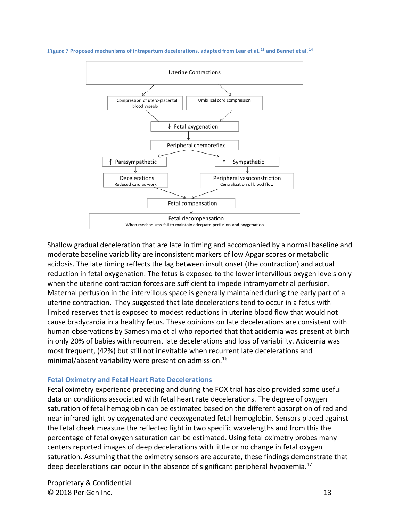**Figure 7 Proposed mechanisms of intrapartum decelerations, adapted from Lear et al. <sup>13</sup> and Bennet et al. <sup>14</sup>**



Shallow gradual deceleration that are late in timing and accompanied by a normal baseline and moderate baseline variability are inconsistent markers of low Apgar scores or metabolic acidosis. The late timing reflects the lag between insult onset (the contraction) and actual reduction in fetal oxygenation. The fetus is exposed to the lower intervillous oxygen levels only when the uterine contraction forces are sufficient to impede intramyometrial perfusion. Maternal perfusion in the intervillous space is generally maintained during the early part of a uterine contraction. They suggested that late decelerations tend to occur in a fetus with limited reserves that is exposed to modest reductions in uterine blood flow that would not cause bradycardia in a healthy fetus. These opinions on late decelerations are consistent with human observations by Sameshima et al who reported that that acidemia was present at birth in only 20% of babies with recurrent late decelerations and loss of variability. Acidemia was most frequent, (42%) but still not inevitable when recurrent late decelerations and minimal/absent variability were present on admission.16

#### **Fetal Oximetry and Fetal Heart Rate Decelerations**

Fetal oximetry experience preceding and during the FOX trial has also provided some useful data on conditions associated with fetal heart rate decelerations. The degree of oxygen saturation of fetal hemoglobin can be estimated based on the different absorption of red and near infrared light by oxygenated and deoxygenated fetal hemoglobin. Sensors placed against the fetal cheek measure the reflected light in two specific wavelengths and from this the percentage of fetal oxygen saturation can be estimated. Using fetal oximetry probes many centers reported images of deep decelerations with little or no change in fetal oxygen saturation. Assuming that the oximetry sensors are accurate, these findings demonstrate that deep decelerations can occur in the absence of significant peripheral hypoxemia.<sup>17</sup>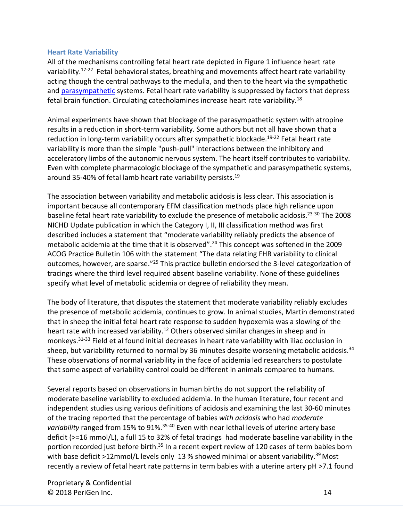#### <span id="page-13-0"></span>**Heart Rate Variability**

All of the mechanisms controlling fetal heart rate depicted in Figure 1 influence heart rate variability.<sup>17-22</sup> Fetal behavioral states, breathing and movements affect heart rate variability acting though the central pathways to the medulla, and then to the heart via the sympathetic and [parasympathetic](https://en.wikipedia.org/wiki/Parasympathetic_nervous_system) systems. Fetal heart rate variability is suppressed by factors that depress fetal brain function. Circulating catecholamines increase heart rate variability.<sup>18</sup>

Animal experiments have shown that blockage of the parasympathetic system with atropine results in a reduction in short-term variability. Some authors but not all have shown that a reduction in long-term variability occurs after sympathetic blockade.<sup>19-22</sup> Fetal heart rate variability is more than the simple "push-pull" interactions between the inhibitory and acceleratory limbs of the autonomic nervous system. The heart itself contributes to variability. Even with complete pharmacologic blockage of the sympathetic and parasympathetic systems, around 35-40% of fetal lamb heart rate variability persists.19

The association between variability and metabolic acidosis is less clear. This association is important because all contemporary EFM classification methods place high reliance upon baseline fetal heart rate variability to exclude the presence of metabolic acidosis.23-30 The 2008 NICHD Update publication in which the Category I, II, III classification method was first described includes a statement that "moderate variability reliably predicts the absence of metabolic acidemia at the time that it is observed". <sup>24</sup> This concept was softened in the 2009 ACOG Practice Bulletin 106 with the statement "The data relating FHR variability to clinical outcomes, however, are sparse."25 This practice bulletin endorsed the 3-level categorization of tracings where the third level required absent baseline variability. None of these guidelines specify what level of metabolic acidemia or degree of reliability they mean.

The body of literature, that disputes the statement that moderate variability reliably excludes the presence of metabolic acidemia, continues to grow. In animal studies, Martin demonstrated that in sheep the initial fetal heart rate response to sudden hypoxemia was a slowing of the heart rate with increased variability.<sup>12</sup> Others observed similar changes in sheep and in monkeys.31-33 Field et al found initial decreases in heart rate variability with iliac occlusion in sheep, but variability returned to normal by 36 minutes despite worsening metabolic acidosis.<sup>34</sup> These observations of normal variability in the face of acidemia led researchers to postulate that some aspect of variability control could be different in animals compared to humans.

Several reports based on observations in human births do not support the reliability of moderate baseline variability to excluded acidemia. In the human literature, four recent and independent studies using various definitions of acidosis and examining the last 30-60 minutes of the tracing reported that the percentage of babies *with acidosis* who had *moderate*  variability ranged from 15% to 91%.<sup>35-40</sup> Even with near lethal levels of uterine artery base deficit (>=16 mmol/L), a full 15 to 32% of fetal tracings had moderate baseline variability in the portion recorded just before birth.<sup>35</sup> In a recent expert review of 120 cases of term babies born with base deficit >12mmol/L levels only 13 % showed minimal or absent variability.<sup>39</sup> Most recently a review of fetal heart rate patterns in term babies with a uterine artery pH >7.1 found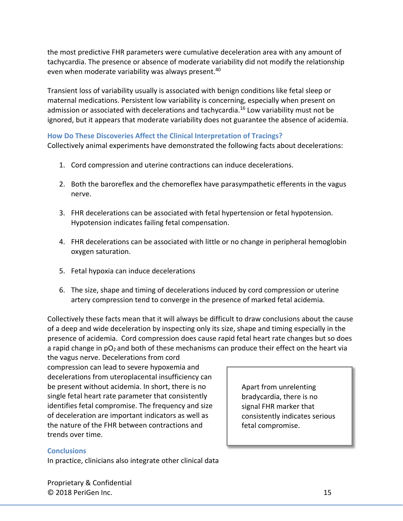the most predictive FHR parameters were cumulative deceleration area with any amount of tachycardia. The presence or absence of moderate variability did not modify the relationship even when moderate variability was always present.<sup>40</sup>

Transient loss of variability usually is associated with benign conditions like fetal sleep or maternal medications. Persistent low variability is concerning, especially when present on admission or associated with decelerations and tachycardia.<sup>16</sup> Low variability must not be ignored, but it appears that moderate variability does not guarantee the absence of acidemia.

### <span id="page-14-0"></span>**How Do These Discoveries Affect the Clinical Interpretation of Tracings?**

Collectively animal experiments have demonstrated the following facts about decelerations:

- 1. Cord compression and uterine contractions can induce decelerations.
- 2. Both the baroreflex and the chemoreflex have parasympathetic efferents in the vagus nerve.
- 3. FHR decelerations can be associated with fetal hypertension or fetal hypotension. Hypotension indicates failing fetal compensation.
- 4. FHR decelerations can be associated with little or no change in peripheral hemoglobin oxygen saturation.
- 5. Fetal hypoxia can induce decelerations
- 6. The size, shape and timing of decelerations induced by cord compression or uterine artery compression tend to converge in the presence of marked fetal acidemia.

Collectively these facts mean that it will always be difficult to draw conclusions about the cause of a deep and wide deceleration by inspecting only its size, shape and timing especially in the presence of acidemia. Cord compression does cause rapid fetal heart rate changes but so does a rapid change in  $pO_2$  and both of these mechanisms can produce their effect on the heart via

the vagus nerve. Decelerations from cord compression can lead to severe hypoxemia and decelerations from uteroplacental insufficiency can be present without acidemia. In short, there is no single fetal heart rate parameter that consistently identifies fetal compromise. The frequency and size of deceleration are important indicators as well as the nature of the FHR between contractions and trends over time.

Apart from unrelenting bradycardia, there is no signal FHR marker that consistently indicates serious fetal compromise.

#### <span id="page-14-1"></span>**Conclusions**

In practice, clinicians also integrate other clinical data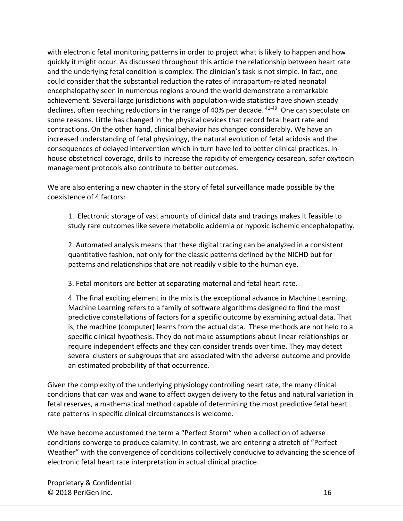with electronic fetal monitoring patterns in order to project what is likely to happen and how quickly it might occur. As discussed throughout this article the relationship between heart rate and the underlying fetal condition is complex. The clinician's task is not simple. In fact, one could consider that the substantial reduction the rates of intrapartum-related neonatal encephalopathy seen in numerous regions around the world demonstrate a remarkable achievement. Several large jurisdictions with population-wide statistics have shown steady declines, often reaching reductions in the range of 40% per decade. <sup>41-49</sup> One can speculate on some reasons. Little has changed in the physical devices that record fetal heart rate and contractions. On the other hand, clinical behavior has changed considerably. We have an increased understanding of fetal physiology, the natural evolution of fetal acidosis and the consequences of delayed intervention which in turn have led to better clinical practices. Inhouse obstetrical coverage, drills to increase the rapidity of emergency cesarean, safer oxytocin management protocols also contribute to better outcomes.

We are also entering a new chapter in the story of fetal surveillance made possible by the coexistence of 4 factors:

1. Electronic storage of vast amounts of clinical data and tracings makes it feasible to study rare outcomes like severe metabolic acidemia or hypoxic ischemic encephalopathy.

2. Automated analysis means that these digital tracing can be analyzed in a consistent quantitative fashion, not only for the classic patterns defined by the NICHD but for patterns and relationships that are not readily visible to the human eye.

3. Fetal monitors are better at separating maternal and fetal heart rate.

4. The final exciting element in the mix is the exceptional advance in Machine Learning. Machine Learning refers to a family of software algorithms designed to find the most predictive constellations of factors for a specific outcome by examining actual data. That is, the machine (computer) learns from the actual data. These methods are not held to a specific clinical hypothesis. They do not make assumptions about linear relationships or require independent effects and they can consider trends over time. They may detect several clusters or subgroups that are associated with the adverse outcome and provide an estimated probability of that occurrence.

Given the complexity of the underlying physiology controlling heart rate, the many clinical conditions that can wax and wane to affect oxygen delivery to the fetus and natural variation in fetal reserves, a mathematical method capable of determining the most predictive fetal heart rate patterns in specific clinical circumstances is welcome.

We have become accustomed the term a "Perfect Storm" when a collection of adverse conditions converge to produce calamity. In contrast, we are entering a stretch of "Perfect Weather" with the convergence of conditions collectively conducive to advancing the science of electronic fetal heart rate interpretation in actual clinical practice.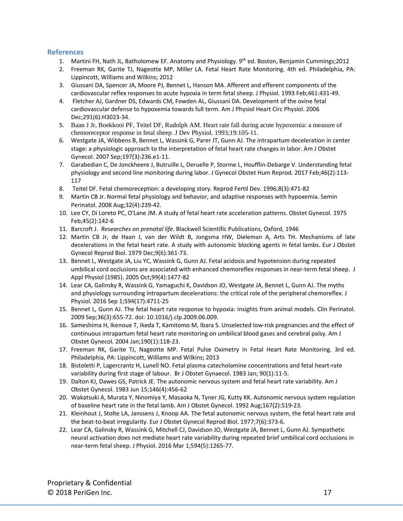#### <span id="page-16-0"></span>**References**

- 1. Martini FH, Nath JL, Batholomew EF. Anatomy and Physiology. 9th ed. Boston, Benjamin Cummings;2012
- 2. Freeman RK, Garite TJ, Nageotte MP, Miller LA. Fetal Heart Rate Monitoring. 4th ed. Philadelphia, PA: Lippincott, Williams and Wilkins; 2012
- 3. Giussani DA, Spencer JA, Moore PJ, Bennet L, Hanson MA. Afferent and efferent components of the cardiovascular reflex responses to acute hypoxia in term fetal sheep. J Physiol. 1993 Feb;461:431-49.
- 4. Fletcher AJ, Gardner DS, Edwards CM, Fowden AL, Giussani DA. Development of the ovine fetal cardiovascular defense to hypoxemia towards full term. Am J Physiol Heart Circ Physiol. 2006 Dec;291(6):H3023-34.
- 5. Baan J Jr, Boekkooi PF, Teitel DF, Rudolph AM. Heart rate fall during acute hypoxemia: a measure of chemoreceptor response in fetal sheep. J Dev Physiol. 1993;19:105-11.
- 6. Westgate JA, Wibbens B, Bennet L, Wassink G, Parer JT, Gunn AJ. The intrapartum deceleration in center stage: a physiologic approach to the interpretation of fetal heart rate changes in labor. Am J Obstet Gynecol. 2007 Sep;197(3):236.e1-11.
- 7. Garabedian C, De Jonckheere J, Butruille L, Deruelle P, Storme L, Houfflin-Debarge V. Understanding fetal physiology and second line monitoring during labor. J Gynecol Obstet Hum Reprod. 2017 Feb;46(2):113- 117
- 8. Teitel DF. Fetal chemoreception: a developing story. Reprod Fertil Dev. 1996;8(3):471-82
- 9. Martin CB Jr. Normal fetal physiology and behavior, and adaptive responses with hypoxemia. Semin Perinatol. 2008 Aug;32(4):239-42.
- 10. Lee CY, Di Loreto PC, O'Lane JM. A study of fetal heart rate acceleration patterns. Obstet Gynecol. 1975 Feb;45(2):142-6
- 11. Barcroft J. *Researches on prenatal life*. Blackwell Scientific Publications, Oxford, 1946
- 12. Martin CB Jr, de Haan J, van der Wildt B, Jongsma HW, Dieleman A, Arts TH. Mechanisms of late decelerations in the fetal heart rate. A study with autonomic blocking agents in fetal lambs. Eur J Obstet Gynecol Reprod Biol. 1979 Dec;9(6):361-73.
- 13. Bennet L, Westgate JA, Liu YC, Wassink G, Gunn AJ. Fetal acidosis and hypotension during repeated umbilical cord occlusions are associated with enhanced chemoreflex responses in near-term fetal sheep. J Appl Physiol (1985). 2005 Oct;99(4):1477-82
- 14. Lear CA, Galinsky R, Wassink G, Yamaguchi K, Davidson JO, Westgate JA, Bennet L, Gunn AJ. The myths and physiology surrounding intrapartum decelerations: the critical role of the peripheral chemoreflex. J Physiol. 2016 Sep 1;594(17):4711-25
- 15. Bennet L, Gunn AJ. The fetal heart rate response to hypoxia: insights from animal models. Clin Perinatol. 2009 Sep;36(3):655-72. doi: 10.1016/j.clp.2009.06.009.
- 16. Sameshima H, Ikenoue T, Ikeda T, Kamitomo M, Ibara S. Unselected low-risk pregnancies and the effect of continuous intrapartum fetal heart rate monitoring on umbilical blood gases and cerebral palsy. Am J Obstet Gynecol. 2004 Jan;190(1):118-23.
- 17. Freeman RK, Garite TJ, Nageotte MP. Fetal Pulse Oximetry in Fetal Heart Rate Monitoring. 3rd ed. Philadelphia, PA: Lippincott, Williams and Wilkins; 2013
- 18. Bistoletti P, Lagercrantz H, Lunell NO. Fetal plasma catecholamine concentrations and fetal heart-rate variability during first stage of labour. Br J Obstet Gynaecol. 1983 Jan; 90(1):11-5.
- 19. Dalton KJ, Dawes GS, Patrick JE. The autonomic nervous system and fetal heart rate variability. Am J Obstet Gynecol. 1983 Jun 15;146(4):456-62
- 20. Wakatsuki A, Murata Y, Ninomiya Y, Masaoka N, Tyner JG, Kutty KK. Autonomic nervous system regulation of baseline heart rate in the fetal lamb. Am J Obstet Gynecol. 1992 Aug;167(2):519-23.
- 21. Kleinhout J, Stolte LA, Janssens J, Knoop AA. The fetal autonomic nervous system, the fetal heart rate and the beat-to-beat irregularity. Eur J Obstet Gynecol Reprod Biol. 1977;7(6):373-6.
- 22. Lear CA, Galinsky R, Wassink G, Mitchell CJ, Davidson JO, Westgate JA, Bennet L, Gunn AJ. Sympathetic neural activation does not mediate heart rate variability during repeated brief umbilical cord occlusions in near-term fetal sheep. J Physiol. 2016 Mar 1;594(5):1265-77.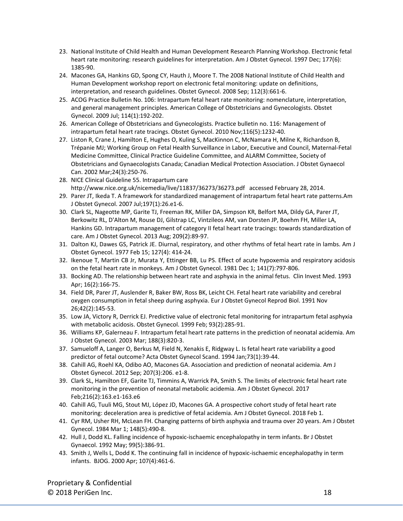- 23. National Institute of Child Health and Human Development Research Planning Workshop. Electronic fetal heart rate monitoring: research guidelines for interpretation. Am J Obstet Gynecol. 1997 Dec; 177(6): 1385-90.
- 24. Macones GA, Hankins GD, Spong CY, Hauth J, Moore T. The 2008 National Institute of Child Health and Human Development workshop report on electronic fetal monitoring: update on definitions, interpretation, and research guidelines. Obstet Gynecol. 2008 Sep; 112(3):661-6.
- 25. ACOG Practice Bulletin No. 106: Intrapartum fetal heart rate monitoring: nomenclature, interpretation, and general management principles. American College of Obstetricians and Gynecologists. Obstet Gynecol. 2009 Jul; 114(1):192-202.
- 26. American College of Obstetricians and Gynecologists. Practice bulletin no. 116: Management of intrapartum fetal heart rate tracings. Obstet Gynecol. 2010 Nov;116(5):1232-40.
- 27. Liston R, Crane J, Hamilton E, Hughes O, Kuling S, MacKinnon C, McNamara H, Milne K, Richardson B, Trépanie MJ; Working Group on Fetal Health Surveillance in Labor, Executive and Council, Maternal-Fetal Medicine Committee, Clinical Practice Guideline Committee, and ALARM Committee, Society of Obstetricians and Gynaecologists Canada; Canadian Medical Protection Association. J Obstet Gynaecol Can. 2002 Mar;24(3):250-76.
- 28. NICE Clinical Guideline 55. Intrapartum care [http://www.nice.org.uk/nicemedia/live/11837/36273/36273.pdf accessed February 28,](http://www.nice.org.uk/nicemedia/live/11837/36273/36273.pdf%20%20%20accessed%20February%2028) 2014.
- 29. Parer JT, Ikeda T. A framework for standardized management of intrapartum fetal heart rate patterns.Am J Obstet Gynecol. 2007 Jul;197(1):26.e1-6.
- 30. Clark SL, Nageotte MP, Garite TJ, Freeman RK, Miller DA, Simpson KR, Belfort MA, Dildy GA, Parer JT, Berkowitz RL, D'Alton M, Rouse DJ, Gilstrap LC, Vintzileos AM, van Dorsten JP, Boehm FH, Miller LA, Hankins GD. Intrapartum management of category II fetal heart rate tracings: towards standardization of care. Am J Obstet Gynecol. 2013 Aug; 209(2):89-97.
- 31. Dalton KJ, Dawes GS, Patrick JE. Diurnal, respiratory, and other rhythms of fetal heart rate in lambs. Am J Obstet Gynecol. 1977 Feb 15; 127(4): 414-24.
- 32. Ikenoue T, Martin CB Jr, Murata Y, Ettinger BB, Lu PS. Effect of acute hypoxemia and respiratory acidosis on the fetal heart rate in monkeys. Am J Obstet Gynecol. 1981 Dec 1; 141(7):797-806.
- 33. Bocking AD. The relationship between heart rate and asphyxia in the animal fetus. Clin Invest Med. 1993 Apr; 16(2):166-75.
- 34. Field DR, Parer JT, Auslender R, Baker BW, Ross BK, Leicht CH. Fetal heart rate variability and cerebral oxygen consumption in fetal sheep during asphyxia. Eur J Obstet Gynecol Reprod Biol. 1991 Nov 26;42(2):145-53.
- 35. Low JA, Victory R, Derrick EJ. Predictive value of electronic fetal monitoring for intrapartum fetal asphyxia with metabolic acidosis. Obstet Gynecol. 1999 Feb; 93(2):285-91.
- 36. Williams KP, Galerneau F. Intrapartum fetal heart rate patterns in the prediction of neonatal acidemia. Am J Obstet Gynecol. 2003 Mar; 188(3):820-3.
- 37. Samueloff A, Langer O, Berkus M, Field N, Xenakis E, Ridgway L. Is fetal heart rate variability a good predictor of fetal outcome? Acta Obstet Gynecol Scand. 1994 Jan;73(1):39-44.
- 38. Cahill AG, Roehl KA, Odibo AO, Macones GA. Association and prediction of neonatal acidemia. Am J Obstet Gynecol. 2012 Sep; 207(3):206. e1-8.
- 39. Clark SL, Hamilton EF, Garite TJ, Timmins A, Warrick PA, Smith S. The limits of electronic fetal heart rate monitoring in the prevention of neonatal metabolic acidemia. Am J Obstet Gynecol. 2017 Feb;216(2):163.e1-163.e6
- 40. Cahill AG, Tuuli MG, Stout MJ, López JD, Macones GA. A prospective cohort study of fetal heart rate monitoring: deceleration area is predictive of fetal acidemia. Am J Obstet Gynecol. 2018 Feb 1.
- 41. Cyr RM, Usher RH, McLean FH. Changing patterns of birth asphyxia and trauma over 20 years. Am J Obstet Gynecol. 1984 Mar 1; 148(5):490-8.
- 42. Hull J, Dodd KL. Falling incidence of hypoxic-ischaemic encephalopathy in term infants. Br J Obstet Gynaecol. 1992 May; 99(5):386-91.
- 43. Smith J, Wells L, Dodd K. The continuing fall in incidence of hypoxic-ischaemic encephalopathy in term infants. BJOG. 2000 Apr; 107(4):461-6.